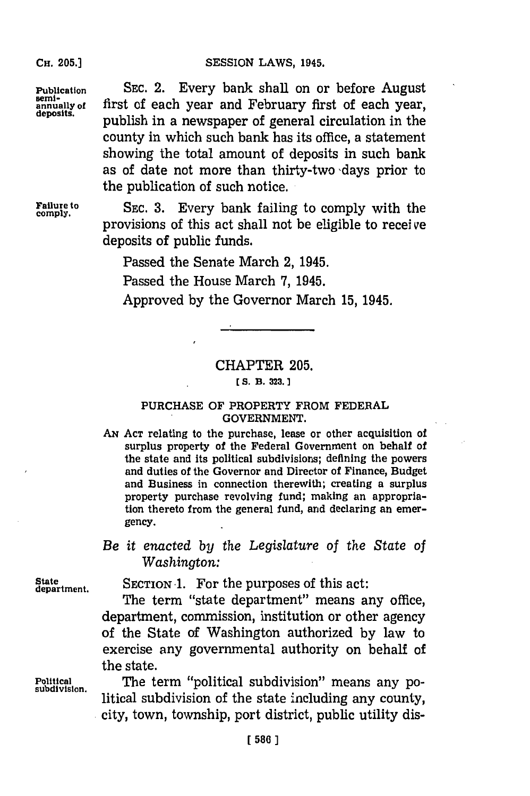SESSION LAWS, 1945.

**Publication** SEC. 2. Every bank shall on or before August semi-<br> **annually of** first of each year and February first of each year, **annually of first of each year and February first of each year, publish in a newspaper of general circulation in the** county in which such bank has its office, a statement showing the total amount of deposits in such bank as of date not more than thirty-two 'days prior to the publication of such notice.

Failure to SEC. 3. Every bank failing to comply with the comply. provisions of this act shall not be eligible to receive deposits of public funds.

Passed the Senate March 2, 1945.

Passed the House March **'7,** 1945.

Approved **by** the Governor March **15,** 1945.

## CHAPTER **205.**

#### *[* **S. B. 223.**

### **PURCHASE OF** PROPERTY FROM FEDERAL **GOVERNMENT.**

- **AN ACT** relating to the purchase, lease or other acquisition of surplus property of the Federal Government on behalf of the state and its political subdivisions; defining the powers and duties of the Governor and Director of Finance, Budget and Business in connection therewith; creating a surplus property purchase revolving fund; making an appropriation thereto from the general fund, and declaring an emergency.
- *Be it enazcted by the Legislature of the State of Washington:*

State SECTION 1. For the purposes of this act:

The term "state department" means any office, department, commission, institution or other agency of the State of Washington authorized **by** law to exercise any governmental authority on behalf of the state.

Political **The term "political subdivision" means any political subdivision of the state including any county, city, town, township, port district, public utility dis-**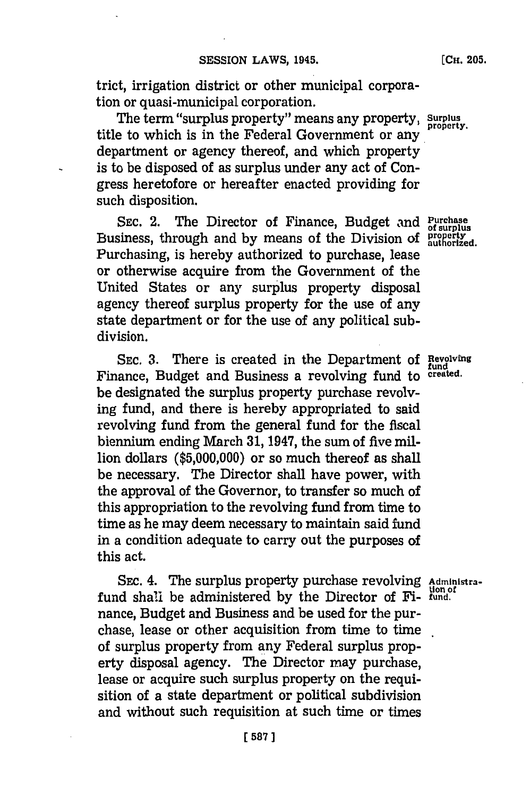trict, irrigation district or other municipal corporation or quasi-municipal corporation.

The term "surplus property" means any property, **Surplus** title to which is in the Federal Government or any department or agency thereof, and which property is to be disposed of as surplus under any act of Congress heretofore or hereafter enacted providing for such disposition.

SEC. 2. The Director of Finance, Budget and **Purchase** Business, through and by means of the Division of property Purchasing, is hereby authorized to purchase, lease or otherwise acquire from the Government of the United States or any surplus property disposal agency thereof surplus property for the use of any state department or for the use of any political subdivision.

SEC. 3. There is created in the Department of Revolving Finance, Budget and Business a revolving fund to **created**. be designated the surplus property purchase revolving fund, and there is hereby appropriated to said revolving fund from the general fund for the fiscal biennium ending March **31,** 1947, the sum of five million dollars **(\$5,000,000)** or so much thereof as shall be necessary. The Director shall have power, with the approval of the Governor, to transfer so much of this appropriation to the revolving fund from time to time as he may deem necessary to maintain said fund in a condition adequate to carry out the purposes of this act.

SEC. 4. The surplus property purchase revolving Administrafund shall be administered **by** the Director of Fi- **fund.** nance, Budget and Business and be used for the purchase, lease or other acquisition from time to time of surplus property from any Federal surplus property disposal agency. The Director may purchase, lease or acquire such surplus property on the requisition of a state department or political subdivision and without such requisition at such time or times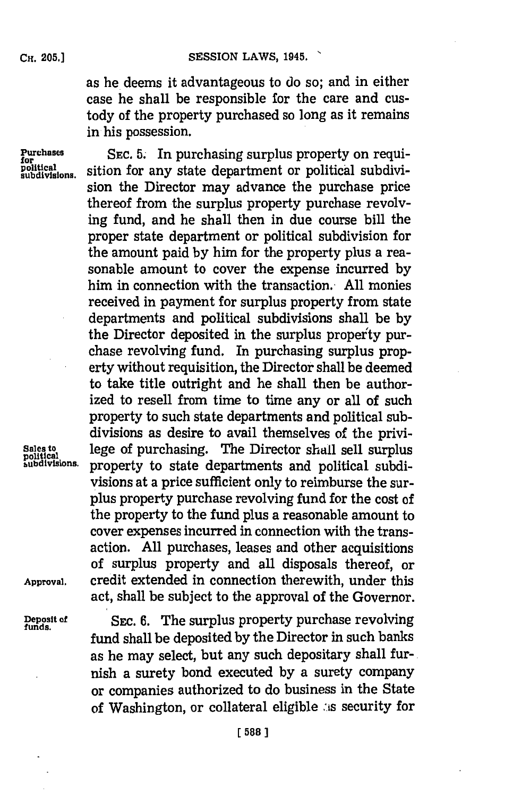as he deems it advantageous to do so; and in either case he shall be responsible for the care and custody of the property purchased so long as it remains in his possession.

**Purchases** EEC. 5. In purchasing surplus property on requi-<br>political subdivisions sition for any state department or political subdivisition for any state department or political subdivision the Director may advance the purchase price thereof from the surplus property purchase revolvig fund, and he shall then in due course bill the proper state department or political subdivision for the amount paid **by** him for the property plus a reasonable amount to cover the expense incurred **by** him in connection with the transaction.- **All** monies received in payment for surplus property from state departments and political subdivisions shall be **by** the Director deposited in the surplus property purchase revolving fund. In purchasing surplus property without requisition, the Director shall be deemed to take title outright and he shall then be authorized to resell from time to time any or all of such property to such state departments and political subdivisions as desire to avail themselves of the privi-Sales to **lege of purchasing.** The Director shall sell surplus political automorphic surplus **published in the select of the function**  $\mathbf{r}$  represents and political subdiproperty to state departments and political subdivisions at a price sufficient only to reimburse the surplus property purchase revolving fund for the cost of the property to the fund plus a reasonable amount to cover expenses incurred in connection with the transaction. **All** purchases, leases and other acquisitions of surplus property and all disposals thereof, or **Approval,** credit extended in connection therewith, under this act, shall be subject to the approval of the Governor.

**Deposit of** SEc. **6.** The surplus property purchase revolving **funds** fund shall be deposited **by** the Director in such banks as he may select, but any such depositary shall furnish a surety bond executed **by** a surety company or companies authorized to do business in the State of Washington, or collateral eligible as security for